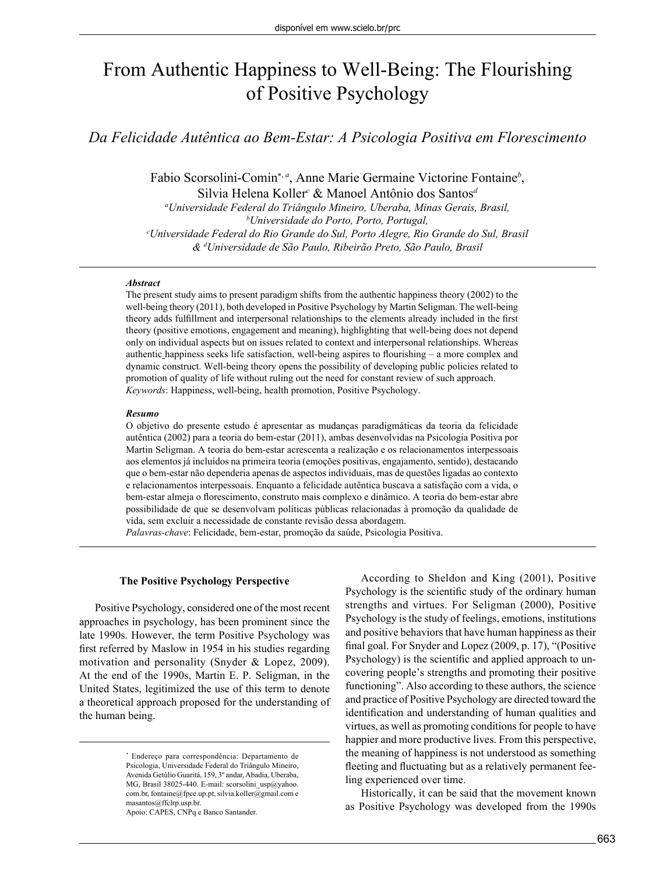# From Authentic Happiness to Well-Being: The Flourishing of Positive Psychology

*Da Felicidade Autêntica ao Bem-Estar: A Psicologia Positiva em Florescimento*

Fabio Scorsolini-Comin<sup>\*, a</sup>, Anne Marie Germaine Victorine Fontaine<sup>b</sup>,

Silvia Helena Koller*<sup>c</sup>* & Manoel Antônio dos Santos*<sup>d</sup> a Universidade Federal do Triângulo Mineiro, Uberaba, Minas Gerais, Brasil, b Universidade do Porto, Porto, Portugal, c Universidade Federal do Rio Grande do Sul, Porto Alegre, Rio Grande do Sul, Brasil & d Universidade de São Paulo, Ribeirão Preto, São Paulo, Brasil*

# *Abstract*

The present study aims to present paradigm shifts from the authentic happiness theory (2002) to the well-being theory (2011), both developed in Positive Psychology by Martin Seligman. The well-being theory adds fulfillment and interpersonal relationships to the elements already included in the first theory (positive emotions, engagement and meaning), highlighting that well-being does not depend only on individual aspects but on issues related to context and interpersonal relationships. Whereas authentic happiness seeks life satisfaction, well-being aspires to flourishing  $-$  a more complex and dynamic construct. Well-being theory opens the possibility of developing public policies related to promotion of quality of life without ruling out the need for constant review of such approach. *Keywords*: Happiness, well-being, health promotion, Positive Psychology.

#### *Resumo*

O objetivo do presente estudo é apresentar as mudanças paradigmáticas da teoria da felicidade autêntica (2002) para a teoria do bem-estar (2011), ambas desenvolvidas na Psicologia Positiva por Martin Seligman. A teoria do bem-estar acrescenta a realização e os relacionamentos interpessoais aos elementos já incluídos na primeira teoria (emoções positivas, engajamento, sentido), destacando que o bem-estar não dependeria apenas de aspectos individuais, mas de questões ligadas ao contexto e relacionamentos interpessoais. Enquanto a felicidade autêntica buscava a satisfação com a vida, o bem-estar almeja o florescimento, construto mais complexo e dinâmico. A teoria do bem-estar abre possibilidade de que se desenvolvam políticas públicas relacionadas à promoção da qualidade de vida, sem excluir a necessidade de constante revisão dessa abordagem.

*Palavras-chave*: Felicidade, bem-estar, promoção da saúde, Psicologia Positiva.

### **The Positive Psychology Perspective**

Positive Psychology, considered one of the most recent approaches in psychology, has been prominent since the late 1990s. However, the term Positive Psychology was first referred by Maslow in 1954 in his studies regarding motivation and personality (Snyder & Lopez, 2009). At the end of the 1990s, Martin E. P. Seligman, in the United States, legitimized the use of this term to denote a theoretical approach proposed for the understanding of the human being.

According to Sheldon and King (2001), Positive Psychology is the scientific study of the ordinary human strengths and virtues. For Seligman (2000), Positive Psychology is the study of feelings, emotions, institutions and positive behaviors that have human happiness as their final goal. For Snyder and Lopez (2009, p. 17), "(Positive Psychology) is the scientific and applied approach to uncovering people's strengths and promoting their positive functioning". Also according to these authors, the science and practice of Positive Psychology are directed toward the identification and understanding of human qualities and virtues, as well as promoting conditions for people to have happier and more productive lives. From this perspective, the meaning of happiness is not understood as something fleeting and fluctuating but as a relatively permanent feeling experienced over time.

Historically, it can be said that the movement known as Positive Psychology was developed from the 1990s

<sup>\*</sup> Endereço para correspondência: Departamento de Psicologia, Universidade Federal do Triângulo Mineiro, Avenida Getúlio Guaritá, 159, 3º andar, Abadia, Uberaba, MG, Brasil 38025-440. E-mail: scorsolini\_usp@yahoo. com.br, fontaine@fpce.up.pt, silvia.koller@gmail.com e masantos@ffclrp.usp.br. Apoio: CAPES, CNPq e Banco Santander.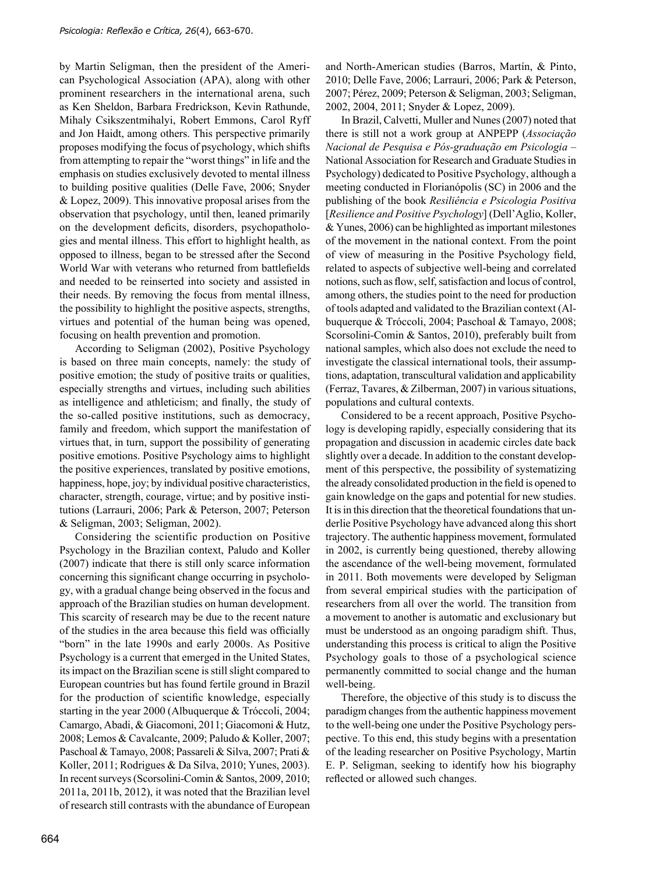by Martin Seligman, then the president of the American Psychological Association (APA), along with other prominent researchers in the international arena, such as Ken Sheldon, Barbara Fredrickson, Kevin Rathunde, Mihaly Csikszentmihalyi, Robert Emmons, Carol Ryff and Jon Haidt, among others. This perspective primarily proposes modifying the focus of psychology, which shifts from attempting to repair the "worst things" in life and the emphasis on studies exclusively devoted to mental illness to building positive qualities (Delle Fave, 2006; Snyder & Lopez, 2009). This innovative proposal arises from the observation that psychology, until then, leaned primarily on the development deficits, disorders, psychopathologies and mental illness. This effort to highlight health, as opposed to illness, began to be stressed after the Second World War with veterans who returned from battlefields and needed to be reinserted into society and assisted in their needs. By removing the focus from mental illness, the possibility to highlight the positive aspects, strengths, virtues and potential of the human being was opened, focusing on health prevention and promotion.

According to Seligman (2002), Positive Psychology is based on three main concepts, namely: the study of positive emotion; the study of positive traits or qualities, especially strengths and virtues, including such abilities as intelligence and athleticism; and finally, the study of the so-called positive institutions, such as democracy, family and freedom, which support the manifestation of virtues that, in turn, support the possibility of generating positive emotions. Positive Psychology aims to highlight the positive experiences, translated by positive emotions, happiness, hope, joy; by individual positive characteristics, character, strength, courage, virtue; and by positive institutions (Larrauri, 2006; Park & Peterson, 2007; Peterson & Seligman, 2003; Seligman, 2002).

Considering the scientific production on Positive Psychology in the Brazilian context, Paludo and Koller (2007) indicate that there is still only scarce information concerning this significant change occurring in psychology, with a gradual change being observed in the focus and approach of the Brazilian studies on human development. This scarcity of research may be due to the recent nature of the studies in the area because this field was officially "born" in the late 1990s and early 2000s. As Positive Psychology is a current that emerged in the United States, its impact on the Brazilian scene is still slight compared to European countries but has found fertile ground in Brazil for the production of scientific knowledge, especially starting in the year 2000 (Albuquerque & Tróccoli, 2004; Camargo, Abadi, & Giacomoni, 2011; Giacomoni & Hutz, 2008; Lemos & Cavalcante, 2009; Paludo & Koller, 2007; Paschoal & Tamayo, 2008; Passareli & Silva, 2007; Prati & Koller, 2011; Rodrigues & Da Silva, 2010; Yunes, 2003). In recent surveys (Scorsolini-Comin & Santos, 2009, 2010; 2011a, 2011b, 2012), it was noted that the Brazilian level of research still contrasts with the abundance of European and North-American studies (Barros, Martín, & Pinto, 2010; Delle Fave, 2006; Larrauri, 2006; Park & Peterson, 2007; Pérez, 2009; Peterson & Seligman, 2003; Seligman, 2002, 2004, 2011; Snyder & Lopez, 2009).

In Brazil, Calvetti, Muller and Nunes (2007) noted that there is still not a work group at ANPEPP (*Associação Nacional de Pesquisa e Pós-graduação em Psicologia* – National Association for Research and Graduate Studies in Psychology) dedicated to Positive Psychology, although a meeting conducted in Florianópolis (SC) in 2006 and the publishing of the book *Resiliência e Psicologia Positiva* [*Resilience and Positive Psychology*] (Dell'Aglio, Koller, & Yunes, 2006) can be highlighted as important milestones of the movement in the national context. From the point of view of measuring in the Positive Psychology field, related to aspects of subjective well-being and correlated notions, such as flow, self, satisfaction and locus of control, among others, the studies point to the need for production of tools adapted and validated to the Brazilian context (Albuquerque & Tróccoli, 2004; Paschoal & Tamayo, 2008; Scorsolini-Comin & Santos, 2010), preferably built from national samples, which also does not exclude the need to investigate the classical international tools, their assumptions, adaptation, transcultural validation and applicability (Ferraz, Tavares, & Zilberman, 2007) in various situations, populations and cultural contexts.

Considered to be a recent approach, Positive Psychology is developing rapidly, especially considering that its propagation and discussion in academic circles date back slightly over a decade. In addition to the constant development of this perspective, the possibility of systematizing the already consolidated production in the field is opened to gain knowledge on the gaps and potential for new studies. It is in this direction that the theoretical foundations that underlie Positive Psychology have advanced along this short trajectory. The authentic happiness movement, formulated in 2002, is currently being questioned, thereby allowing the ascendance of the well-being movement, formulated in 2011. Both movements were developed by Seligman from several empirical studies with the participation of researchers from all over the world. The transition from a movement to another is automatic and exclusionary but must be understood as an ongoing paradigm shift. Thus, understanding this process is critical to align the Positive Psychology goals to those of a psychological science permanently committed to social change and the human well-being.

Therefore, the objective of this study is to discuss the paradigm changes from the authentic happiness movement to the well-being one under the Positive Psychology perspective. To this end, this study begins with a presentation of the leading researcher on Positive Psychology, Martin E. P. Seligman, seeking to identify how his biography reflected or allowed such changes.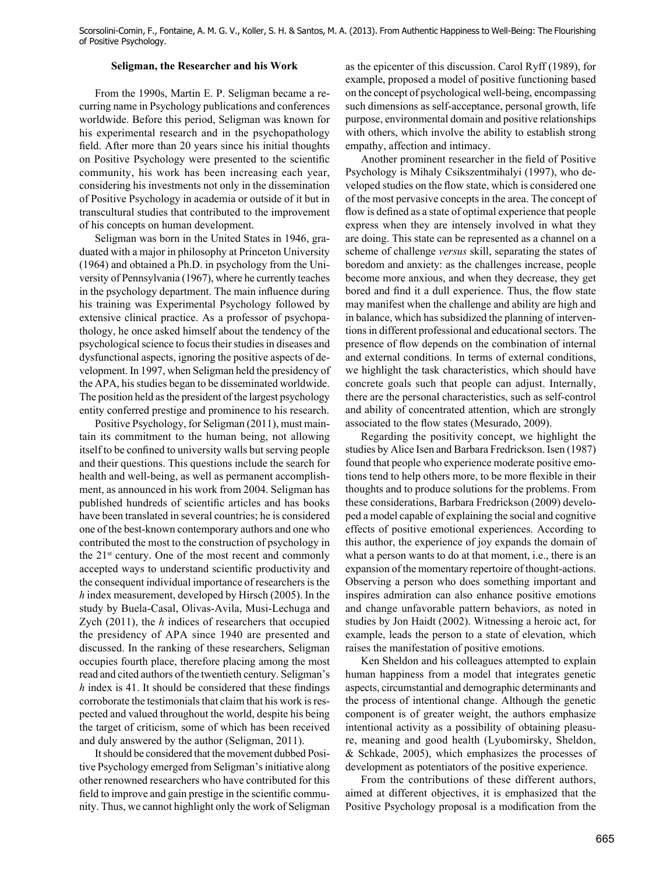## **Seligman, the Researcher and his Work**

From the 1990s, Martin E. P. Seligman became a recurring name in Psychology publications and conferences worldwide. Before this period, Seligman was known for his experimental research and in the psychopathology field. After more than 20 years since his initial thoughts on Positive Psychology were presented to the scientific community, his work has been increasing each year, considering his investments not only in the dissemination of Positive Psychology in academia or outside of it but in transcultural studies that contributed to the improvement of his concepts on human development.

Seligman was born in the United States in 1946, graduated with a major in philosophy at Princeton University (1964) and obtained a Ph.D. in psychology from the University of Pennsylvania (1967), where he currently teaches in the psychology department. The main influence during his training was Experimental Psychology followed by extensive clinical practice. As a professor of psychopathology, he once asked himself about the tendency of the psychological science to focus their studies in diseases and dysfunctional aspects, ignoring the positive aspects of development. In 1997, when Seligman held the presidency of the APA, his studies began to be disseminated worldwide. The position held as the president of the largest psychology entity conferred prestige and prominence to his research.

Positive Psychology, for Seligman (2011), must maintain its commitment to the human being, not allowing itself to be confined to university walls but serving people and their questions. This questions include the search for health and well-being, as well as permanent accomplishment, as announced in his work from 2004. Seligman has published hundreds of scientific articles and has books have been translated in several countries; he is considered one of the best-known contemporary authors and one who contributed the most to the construction of psychology in the 21st century. One of the most recent and commonly accepted ways to understand scientific productivity and the consequent individual importance of researchers is the *h* index measurement, developed by Hirsch (2005). In the study by Buela-Casal, Olivas-Avila, Musi-Lechuga and Zych (2011), the *h* indices of researchers that occupied the presidency of APA since 1940 are presented and discussed. In the ranking of these researchers, Seligman occupies fourth place, therefore placing among the most read and cited authors of the twentieth century. Seligman's  $h$  index is 41. It should be considered that these findings corroborate the testimonials that claim that his work is respected and valued throughout the world, despite his being the target of criticism, some of which has been received and duly answered by the author (Seligman, 2011).

It should be considered that the movement dubbed Positive Psychology emerged from Seligman's initiative along other renowned researchers who have contributed for this field to improve and gain prestige in the scientific community. Thus, we cannot highlight only the work of Seligman as the epicenter of this discussion. Carol Ryff (1989), for example, proposed a model of positive functioning based on the concept of psychological well-being, encompassing such dimensions as self-acceptance, personal growth, life purpose, environmental domain and positive relationships with others, which involve the ability to establish strong empathy, affection and intimacy.

Another prominent researcher in the field of Positive Psychology is Mihaly Csikszentmihalyi (1997), who developed studies on the flow state, which is considered one of the most pervasive concepts in the area. The concept of flow is defined as a state of optimal experience that people express when they are intensely involved in what they are doing. This state can be represented as a channel on a scheme of challenge *versus* skill, separating the states of boredom and anxiety: as the challenges increase, people become more anxious, and when they decrease, they get bored and find it a dull experience. Thus, the flow state may manifest when the challenge and ability are high and in balance, which has subsidized the planning of interventions in different professional and educational sectors. The presence of flow depends on the combination of internal and external conditions. In terms of external conditions, we highlight the task characteristics, which should have concrete goals such that people can adjust. Internally, there are the personal characteristics, such as self-control and ability of concentrated attention, which are strongly associated to the flow states (Mesurado, 2009).

Regarding the positivity concept, we highlight the studies by Alice Isen and Barbara Fredrickson. Isen (1987) found that people who experience moderate positive emotions tend to help others more, to be more flexible in their thoughts and to produce solutions for the problems. From these considerations, Barbara Fredrickson (2009) developed a model capable of explaining the social and cognitive effects of positive emotional experiences. According to this author, the experience of joy expands the domain of what a person wants to do at that moment, i.e., there is an expansion of the momentary repertoire of thought-actions. Observing a person who does something important and inspires admiration can also enhance positive emotions and change unfavorable pattern behaviors, as noted in studies by Jon Haidt (2002). Witnessing a heroic act, for example, leads the person to a state of elevation, which raises the manifestation of positive emotions.

Ken Sheldon and his colleagues attempted to explain human happiness from a model that integrates genetic aspects, circumstantial and demographic determinants and the process of intentional change. Although the genetic component is of greater weight, the authors emphasize intentional activity as a possibility of obtaining pleasure, meaning and good health (Lyubomirsky, Sheldon, & Schkade, 2005), which emphasizes the processes of development as potentiators of the positive experience.

From the contributions of these different authors, aimed at different objectives, it is emphasized that the Positive Psychology proposal is a modification from the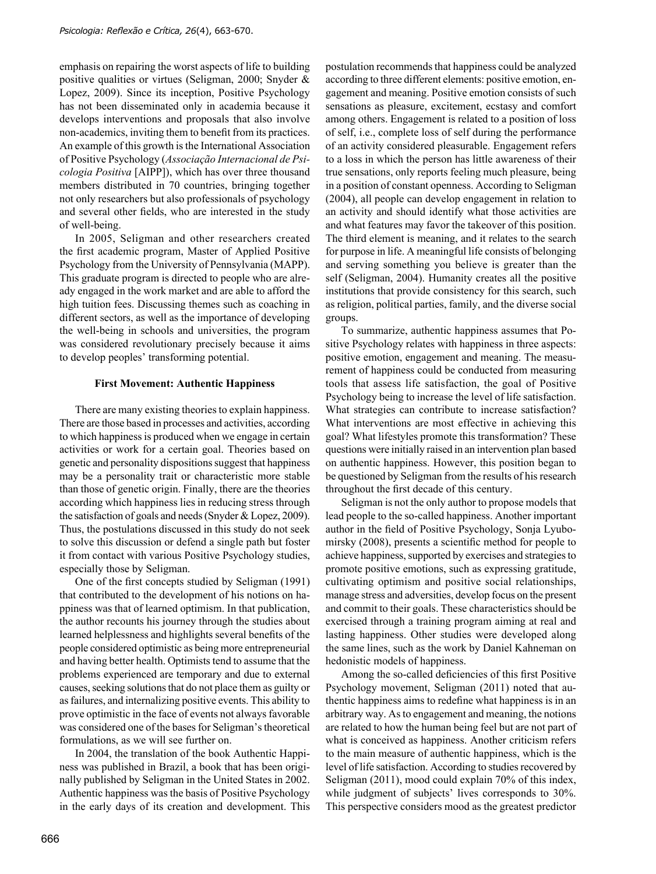emphasis on repairing the worst aspects of life to building positive qualities or virtues (Seligman, 2000; Snyder & Lopez, 2009). Since its inception, Positive Psychology has not been disseminated only in academia because it develops interventions and proposals that also involve non-academics, inviting them to benefit from its practices. An example of this growth is the International Association of Positive Psychology (*Associação Internacional de Psicologia Positiva* [AIPP]), which has over three thousand members distributed in 70 countries, bringing together not only researchers but also professionals of psychology and several other fields, who are interested in the study of well-being.

In 2005, Seligman and other researchers created the first academic program, Master of Applied Positive Psychology from the University of Pennsylvania (MAPP). This graduate program is directed to people who are already engaged in the work market and are able to afford the high tuition fees. Discussing themes such as coaching in different sectors, as well as the importance of developing the well-being in schools and universities, the program was considered revolutionary precisely because it aims to develop peoples' transforming potential.

# **First Movement: Authentic Happiness**

There are many existing theories to explain happiness. There are those based in processes and activities, according to which happiness is produced when we engage in certain activities or work for a certain goal. Theories based on genetic and personality dispositions suggest that happiness may be a personality trait or characteristic more stable than those of genetic origin. Finally, there are the theories according which happiness lies in reducing stress through the satisfaction of goals and needs (Snyder & Lopez, 2009). Thus, the postulations discussed in this study do not seek to solve this discussion or defend a single path but foster it from contact with various Positive Psychology studies, especially those by Seligman.

One of the first concepts studied by Seligman (1991) that contributed to the development of his notions on happiness was that of learned optimism. In that publication, the author recounts his journey through the studies about learned helplessness and highlights several benefits of the people considered optimistic as being more entrepreneurial and having better health. Optimists tend to assume that the problems experienced are temporary and due to external causes, seeking solutions that do not place them as guilty or as failures, and internalizing positive events. This ability to prove optimistic in the face of events not always favorable was considered one of the bases for Seligman's theoretical formulations, as we will see further on.

In 2004, the translation of the book Authentic Happiness was published in Brazil, a book that has been originally published by Seligman in the United States in 2002. Authentic happiness was the basis of Positive Psychology in the early days of its creation and development. This postulation recommends that happiness could be analyzed according to three different elements: positive emotion, engagement and meaning. Positive emotion consists of such sensations as pleasure, excitement, ecstasy and comfort among others. Engagement is related to a position of loss of self, i.e., complete loss of self during the performance of an activity considered pleasurable. Engagement refers to a loss in which the person has little awareness of their true sensations, only reports feeling much pleasure, being in a position of constant openness. According to Seligman (2004), all people can develop engagement in relation to an activity and should identify what those activities are and what features may favor the takeover of this position. The third element is meaning, and it relates to the search for purpose in life. A meaningful life consists of belonging and serving something you believe is greater than the self (Seligman, 2004). Humanity creates all the positive institutions that provide consistency for this search, such as religion, political parties, family, and the diverse social groups.

To summarize, authentic happiness assumes that Positive Psychology relates with happiness in three aspects: positive emotion, engagement and meaning. The measurement of happiness could be conducted from measuring tools that assess life satisfaction, the goal of Positive Psychology being to increase the level of life satisfaction. What strategies can contribute to increase satisfaction? What interventions are most effective in achieving this goal? What lifestyles promote this transformation? These questions were initially raised in an intervention plan based on authentic happiness. However, this position began to be questioned by Seligman from the results of his research throughout the first decade of this century.

Seligman is not the only author to propose models that lead people to the so-called happiness. Another important author in the field of Positive Psychology, Sonja Lyubomirsky (2008), presents a scientific method for people to achieve happiness, supported by exercises and strategies to promote positive emotions, such as expressing gratitude, cultivating optimism and positive social relationships, manage stress and adversities, develop focus on the present and commit to their goals. These characteristics should be exercised through a training program aiming at real and lasting happiness. Other studies were developed along the same lines, such as the work by Daniel Kahneman on hedonistic models of happiness.

Among the so-called deficiencies of this first Positive Psychology movement, Seligman (2011) noted that authentic happiness aims to redefine what happiness is in an arbitrary way. As to engagement and meaning, the notions are related to how the human being feel but are not part of what is conceived as happiness. Another criticism refers to the main measure of authentic happiness, which is the level of life satisfaction. According to studies recovered by Seligman (2011), mood could explain 70% of this index, while judgment of subjects' lives corresponds to 30%. This perspective considers mood as the greatest predictor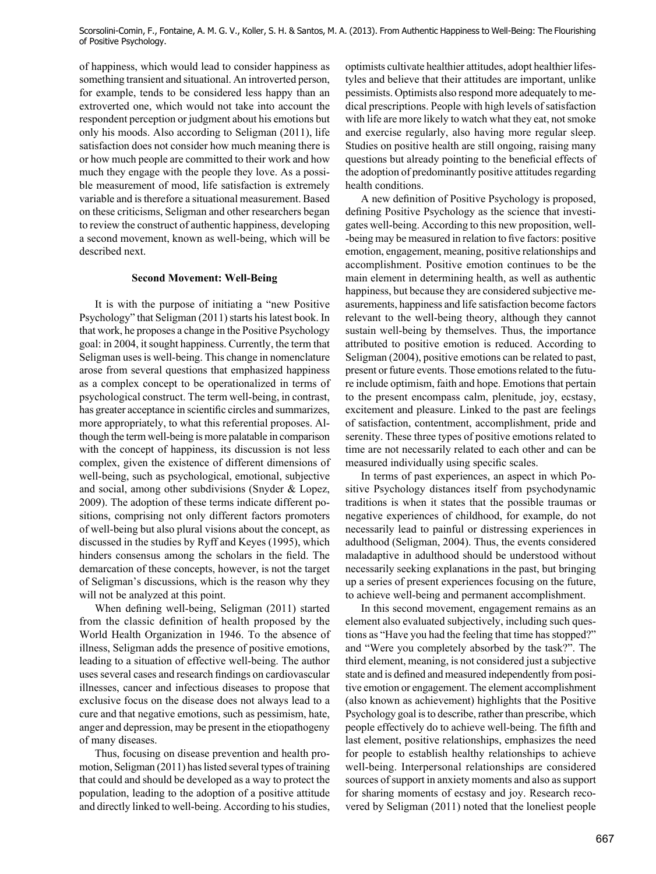Scorsolini-Comin, F., Fontaine, A. M. G. V., Koller, S. H. & Santos, M. A. (2013). From Authentic Happiness to Well-Being: The Flourishing of Positive Psychology.

of happiness, which would lead to consider happiness as something transient and situational. An introverted person, for example, tends to be considered less happy than an extroverted one, which would not take into account the respondent perception or judgment about his emotions but only his moods. Also according to Seligman (2011), life satisfaction does not consider how much meaning there is or how much people are committed to their work and how much they engage with the people they love. As a possible measurement of mood, life satisfaction is extremely variable and is therefore a situational measurement. Based on these criticisms, Seligman and other researchers began to review the construct of authentic happiness, developing a second movement, known as well-being, which will be described next.

## **Second Movement: Well-Being**

It is with the purpose of initiating a "new Positive Psychology" that Seligman (2011) starts his latest book. In that work, he proposes a change in the Positive Psychology goal: in 2004, it sought happiness. Currently, the term that Seligman uses is well-being. This change in nomenclature arose from several questions that emphasized happiness as a complex concept to be operationalized in terms of psychological construct. The term well-being, in contrast, has greater acceptance in scientific circles and summarizes, more appropriately, to what this referential proposes. Although the term well-being is more palatable in comparison with the concept of happiness, its discussion is not less complex, given the existence of different dimensions of well-being, such as psychological, emotional, subjective and social, among other subdivisions (Snyder & Lopez, 2009). The adoption of these terms indicate different positions, comprising not only different factors promoters of well-being but also plural visions about the concept, as discussed in the studies by Ryff and Keyes (1995), which hinders consensus among the scholars in the field. The demarcation of these concepts, however, is not the target of Seligman's discussions, which is the reason why they will not be analyzed at this point.

When defining well-being, Seligman (2011) started from the classic definition of health proposed by the World Health Organization in 1946. To the absence of illness, Seligman adds the presence of positive emotions, leading to a situation of effective well-being. The author uses several cases and research findings on cardiovascular illnesses, cancer and infectious diseases to propose that exclusive focus on the disease does not always lead to a cure and that negative emotions, such as pessimism, hate, anger and depression, may be present in the etiopathogeny of many diseases.

Thus, focusing on disease prevention and health promotion, Seligman (2011) has listed several types of training that could and should be developed as a way to protect the population, leading to the adoption of a positive attitude and directly linked to well-being. According to his studies, optimists cultivate healthier attitudes, adopt healthier lifestyles and believe that their attitudes are important, unlike pessimists. Optimists also respond more adequately to medical prescriptions. People with high levels of satisfaction with life are more likely to watch what they eat, not smoke and exercise regularly, also having more regular sleep. Studies on positive health are still ongoing, raising many questions but already pointing to the beneficial effects of the adoption of predominantly positive attitudes regarding health conditions.

A new definition of Positive Psychology is proposed, defining Positive Psychology as the science that investigates well-being. According to this new proposition, well- -being may be measured in relation to five factors: positive emotion, engagement, meaning, positive relationships and accomplishment. Positive emotion continues to be the main element in determining health, as well as authentic happiness, but because they are considered subjective measurements, happiness and life satisfaction become factors relevant to the well-being theory, although they cannot sustain well-being by themselves. Thus, the importance attributed to positive emotion is reduced. According to Seligman (2004), positive emotions can be related to past, present or future events. Those emotions related to the future include optimism, faith and hope. Emotions that pertain to the present encompass calm, plenitude, joy, ecstasy, excitement and pleasure. Linked to the past are feelings of satisfaction, contentment, accomplishment, pride and serenity. These three types of positive emotions related to time are not necessarily related to each other and can be measured individually using specific scales.

In terms of past experiences, an aspect in which Positive Psychology distances itself from psychodynamic traditions is when it states that the possible traumas or negative experiences of childhood, for example, do not necessarily lead to painful or distressing experiences in adulthood (Seligman, 2004). Thus, the events considered maladaptive in adulthood should be understood without necessarily seeking explanations in the past, but bringing up a series of present experiences focusing on the future, to achieve well-being and permanent accomplishment.

In this second movement, engagement remains as an element also evaluated subjectively, including such questions as "Have you had the feeling that time has stopped?" and "Were you completely absorbed by the task?". The third element, meaning, is not considered just a subjective state and is defined and measured independently from positive emotion or engagement. The element accomplishment (also known as achievement) highlights that the Positive Psychology goal is to describe, rather than prescribe, which people effectively do to achieve well-being. The fifth and last element, positive relationships, emphasizes the need for people to establish healthy relationships to achieve well-being. Interpersonal relationships are considered sources of support in anxiety moments and also as support for sharing moments of ecstasy and joy. Research recovered by Seligman (2011) noted that the loneliest people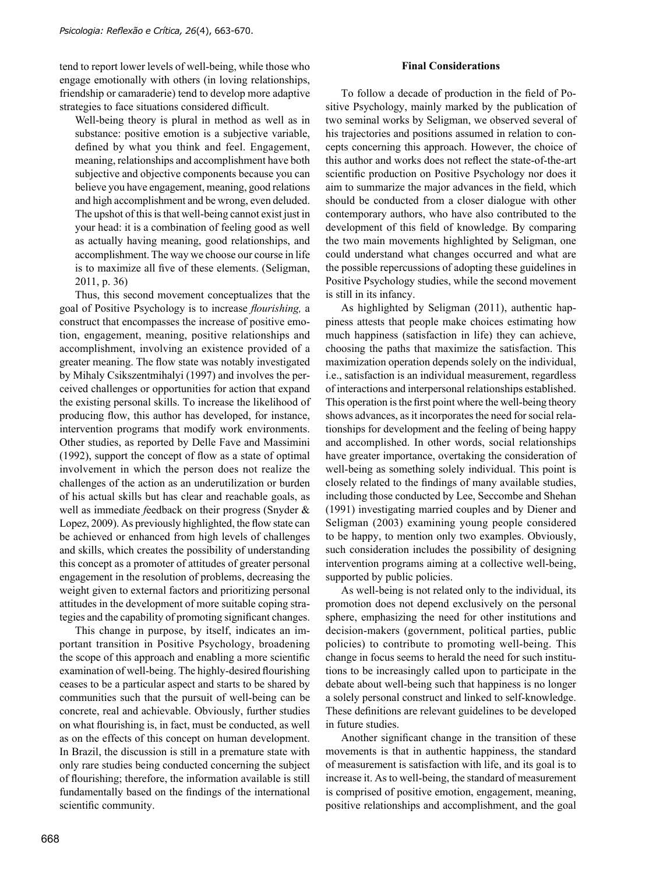tend to report lower levels of well-being, while those who engage emotionally with others (in loving relationships, friendship or camaraderie) tend to develop more adaptive strategies to face situations considered difficult.

Well-being theory is plural in method as well as in substance: positive emotion is a subjective variable, defined by what you think and feel. Engagement, meaning, relationships and accomplishment have both subjective and objective components because you can believe you have engagement, meaning, good relations and high accomplishment and be wrong, even deluded. The upshot of this is that well-being cannot exist just in your head: it is a combination of feeling good as well as actually having meaning, good relationships, and accomplishment. The way we choose our course in life is to maximize all five of these elements. (Seligman, 2011, p. 36)

Thus, this second movement conceptualizes that the goal of Positive Psychology is to increase *flourishing*, a construct that encompasses the increase of positive emotion, engagement, meaning, positive relationships and accomplishment, involving an existence provided of a greater meaning. The flow state was notably investigated by Mihaly Csikszentmihalyi (1997) and involves the perceived challenges or opportunities for action that expand the existing personal skills. To increase the likelihood of producing flow, this author has developed, for instance, intervention programs that modify work environments. Other studies, as reported by Delle Fave and Massimini  $(1992)$ , support the concept of flow as a state of optimal involvement in which the person does not realize the challenges of the action as an underutilization or burden of his actual skills but has clear and reachable goals, as well as immediate *f*eedback on their progress (Snyder & Lopez, 2009). As previously highlighted, the flow state can be achieved or enhanced from high levels of challenges and skills, which creates the possibility of understanding this concept as a promoter of attitudes of greater personal engagement in the resolution of problems, decreasing the weight given to external factors and prioritizing personal attitudes in the development of more suitable coping strategies and the capability of promoting significant changes.

This change in purpose, by itself, indicates an important transition in Positive Psychology, broadening the scope of this approach and enabling a more scientific examination of well-being. The highly-desired flourishing ceases to be a particular aspect and starts to be shared by communities such that the pursuit of well-being can be concrete, real and achievable. Obviously, further studies on what flourishing is, in fact, must be conducted, as well as on the effects of this concept on human development. In Brazil, the discussion is still in a premature state with only rare studies being conducted concerning the subject of flourishing; therefore, the information available is still fundamentally based on the findings of the international scientific community.

## **Final Considerations**

To follow a decade of production in the field of Positive Psychology, mainly marked by the publication of two seminal works by Seligman, we observed several of his trajectories and positions assumed in relation to concepts concerning this approach. However, the choice of this author and works does not reflect the state-of-the-art scientific production on Positive Psychology nor does it aim to summarize the major advances in the field, which should be conducted from a closer dialogue with other contemporary authors, who have also contributed to the development of this field of knowledge. By comparing the two main movements highlighted by Seligman, one could understand what changes occurred and what are the possible repercussions of adopting these guidelines in Positive Psychology studies, while the second movement is still in its infancy.

As highlighted by Seligman (2011), authentic happiness attests that people make choices estimating how much happiness (satisfaction in life) they can achieve, choosing the paths that maximize the satisfaction. This maximization operation depends solely on the individual, i.e., satisfaction is an individual measurement, regardless of interactions and interpersonal relationships established. This operation is the first point where the well-being theory shows advances, as it incorporates the need for social relationships for development and the feeling of being happy and accomplished. In other words, social relationships have greater importance, overtaking the consideration of well-being as something solely individual. This point is closely related to the findings of many available studies, including those conducted by Lee, Seccombe and Shehan (1991) investigating married couples and by Diener and Seligman (2003) examining young people considered to be happy, to mention only two examples. Obviously, such consideration includes the possibility of designing intervention programs aiming at a collective well-being, supported by public policies.

As well-being is not related only to the individual, its promotion does not depend exclusively on the personal sphere, emphasizing the need for other institutions and decision-makers (government, political parties, public policies) to contribute to promoting well-being. This change in focus seems to herald the need for such institutions to be increasingly called upon to participate in the debate about well-being such that happiness is no longer a solely personal construct and linked to self-knowledge. These definitions are relevant guidelines to be developed in future studies.

Another significant change in the transition of these movements is that in authentic happiness, the standard of measurement is satisfaction with life, and its goal is to increase it. As to well-being, the standard of measurement is comprised of positive emotion, engagement, meaning, positive relationships and accomplishment, and the goal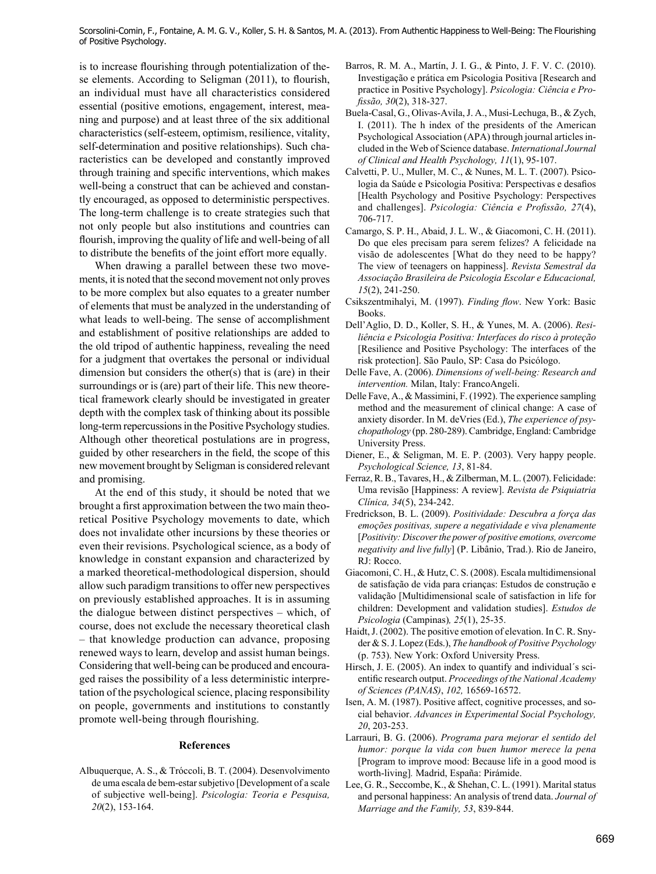Scorsolini-Comin, F., Fontaine, A. M. G. V., Koller, S. H. & Santos, M. A. (2013). From Authentic Happiness to Well-Being: The Flourishing of Positive Psychology.

is to increase flourishing through potentialization of these elements. According to Seligman (2011), to flourish, an individual must have all characteristics considered essential (positive emotions, engagement, interest, meaning and purpose) and at least three of the six additional characteristics (self-esteem, optimism, resilience, vitality, self-determination and positive relationships). Such characteristics can be developed and constantly improved through training and specific interventions, which makes well-being a construct that can be achieved and constantly encouraged, as opposed to deterministic perspectives. The long-term challenge is to create strategies such that not only people but also institutions and countries can flourish, improving the quality of life and well-being of all to distribute the benefits of the joint effort more equally.

When drawing a parallel between these two movements, it is noted that the second movement not only proves to be more complex but also equates to a greater number of elements that must be analyzed in the understanding of what leads to well-being. The sense of accomplishment and establishment of positive relationships are added to the old tripod of authentic happiness, revealing the need for a judgment that overtakes the personal or individual dimension but considers the other(s) that is (are) in their surroundings or is (are) part of their life. This new theoretical framework clearly should be investigated in greater depth with the complex task of thinking about its possible long-term repercussions in the Positive Psychology studies. Although other theoretical postulations are in progress, guided by other researchers in the field, the scope of this new movement brought by Seligman is considered relevant and promising.

At the end of this study, it should be noted that we brought a first approximation between the two main theoretical Positive Psychology movements to date, which does not invalidate other incursions by these theories or even their revisions. Psychological science, as a body of knowledge in constant expansion and characterized by a marked theoretical-methodological dispersion, should allow such paradigm transitions to offer new perspectives on previously established approaches. It is in assuming the dialogue between distinct perspectives – which, of course, does not exclude the necessary theoretical clash – that knowledge production can advance, proposing renewed ways to learn, develop and assist human beings. Considering that well-being can be produced and encouraged raises the possibility of a less deterministic interpretation of the psychological science, placing responsibility on people, governments and institutions to constantly promote well-being through flourishing.

#### **References**

Albuquerque, A. S., & Tróccoli, B. T. (2004). Desenvolvimento de uma escala de bem-estar subjetivo [Development of a scale of subjective well-being]. *Psicologia: Teoria e Pesquisa, 20*(2), 153-164.

- Barros, R. M. A., Martín, J. I. G., & Pinto, J. F. V. C. (2010). Investigação e prática em Psicologia Positiva [Research and practice in Positive Psychology]. *Psicologia: Ciência e Profi ssão, 30*(2), 318-327.
- Buela-Casal, G., Olivas-Avila, J. A., Musi-Lechuga, B., & Zych, I. (2011). The h index of the presidents of the American Psychological Association (APA) through journal articles included in the Web of Science database. *International Journal of Clinical and Health Psychology, 11*(1), 95-107.
- Calvetti, P. U., Muller, M. C., & Nunes, M. L. T. (2007). Psicologia da Saúde e Psicologia Positiva: Perspectivas e desafios [Health Psychology and Positive Psychology: Perspectives and challenges]. Psicologia: Ciência e Profissão, 27(4), 706-717.
- Camargo, S. P. H., Abaid, J. L. W., & Giacomoni, C. H. (2011). Do que eles precisam para serem felizes? A felicidade na visão de adolescentes [What do they need to be happy? The view of teenagers on happiness]. *Revista Semestral da Associação Brasileira de Psicologia Escolar e Educacional, 15*(2), 241-250.
- Csikszentmihalyi, M. (1997). *Finding flow*. New York: Basic Books.
- Dell'Aglio, D. D., Koller, S. H., & Yunes, M. A. (2006). *Resiliência e Psicologia Positiva: Interfaces do risco à proteção*  [Resilience and Positive Psychology: The interfaces of the risk protection]. São Paulo, SP: Casa do Psicólogo.
- Delle Fave, A. (2006). *Dimensions of well-being: Research and intervention.* Milan, Italy: FrancoAngeli.
- Delle Fave, A., & Massimini, F. (1992). The experience sampling method and the measurement of clinical change: A case of anxiety disorder. In M. deVries (Ed.), *The experience of psychopathology* (pp. 280-289). Cambridge, England: Cambridge University Press.
- Diener, E., & Seligman, M. E. P. (2003). Very happy people. *Psychological Science, 13*, 81-84.
- Ferraz, R. B., Tavares, H., & Zilberman, M. L. (2007). Felicidade: Uma revisão [Happiness: A review]. *Revista de Psiquiatria Clínica, 34*(5), 234-242.
- Fredrickson, B. L. (2009). *Positividade: Descubra a força das emoções positivas, supere a negatividade e viva plenamente*  [*Positivity: Discover the power of positive emotions, overcome negativity and live fully*] (P. Libânio, Trad.). Rio de Janeiro, RJ: Rocco.
- Giacomoni, C. H., & Hutz, C. S. (2008). Escala multidimensional de satisfação de vida para crianças: Estudos de construção e validação [Multidimensional scale of satisfaction in life for children: Development and validation studies]. *Estudos de Psicologia* (Campinas)*, 25*(1), 25-35.
- Haidt, J. (2002). The positive emotion of elevation. In C. R. Snyder & S. J. Lopez (Eds.), *The handbook of Positive Psychology* (p. 753). New York: Oxford University Press.
- Hirsch, J. E. (2005). An index to quantify and individual´s scientific research output. *Proceedings of the National Academy of Sciences (PANAS)*, *102,* 16569-16572.
- Isen, A. M. (1987). Positive affect, cognitive processes, and social behavior. *Advances in Experimental Social Psychology, 20*, 203-253.
- Larrauri, B. G. (2006). *Programa para mejorar el sentido del humor: porque la vida con buen humor merece la pena*  [Program to improve mood: Because life in a good mood is worth-living]*.* Madrid, España: Pirámide.
- Lee, G. R., Seccombe, K., & Shehan, C. L. (1991). Marital status and personal happiness: An analysis of trend data. *Journal of Marriage and the Family, 53*, 839-844.